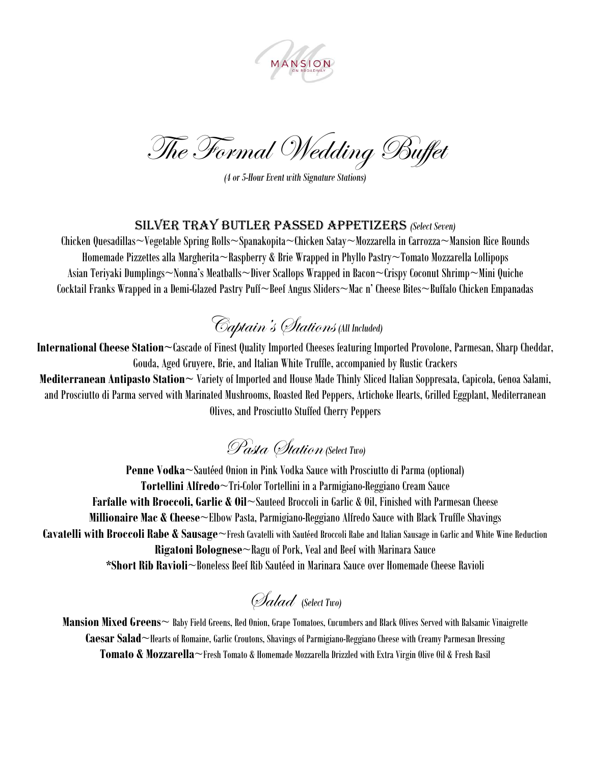

The Formal Wedding Buffet

*(4 or 5-Hour Event with Signature Stations)*

### Silver tray butler passed appetizers *(Select Seven)*

Chicken Quesadillas~Vegetable Spring Rolls~Spanakopita~Chicken Satay~Mozzarella in Carrozza~Mansion Rice Rounds Homemade Pizzettes alla Margherita~Raspberry & Brie Wrapped in Phyllo Pastry~Tomato Mozzarella Lollipops Asian Teriyaki Dumplings~Nonna's Meatballs~Diver Scallops Wrapped in Bacon~Crispy Coconut Shrimp~Mini Quiche Cocktail Franks Wrapped in a Demi-Glazed Pastry Puff~Beef Angus Sliders~Mac n' Cheese Bites~Buffalo Chicken Empanadas

## Captain's Stations *(All Included)*

**International Cheese Station~**Cascade of Finest Quality Imported Cheeses featuring Imported Provolone, Parmesan, Sharp Cheddar, Gouda, Aged Gruyere, Brie, and Italian White Truffle, accompanied by Rustic Crackers **Mediterranean Antipasto Station~** Variety of Imported and House Made Thinly Sliced Italian Soppresata, Capicola, Genoa Salami, and Prosciutto di Parma served with Marinated Mushrooms, Roasted Red Peppers, Artichoke Hearts, Grilled Eggplant, Mediterranean Olives, and Prosciutto Stuffed Cherry Peppers

### Pasta Station*(Select Two)*

**Penne Vodka**~Sautéed Onion in Pink Vodka Sauce with Prosciutto di Parma (optional) **Tortellini Alfredo**~Tri-Color Tortellini in a Parmigiano-Reggiano Cream Sauce **Farfalle with Broccoli, Garlic & Oil**~Sauteed Broccoli in Garlic & Oil, Finished with Parmesan Cheese **Millionaire Mac & Cheese**~Elbow Pasta, Parmigiano-Reggiano Alfredo Sauce with Black Truffle Shavings **Cavatelli with Broccoli Rabe & Sausage**~Fresh Cavatelli with Sautéed Broccoli Rabe and Italian Sausage in Garlic and White Wine Reduction **Rigatoni Bolognese**~Ragu of Pork, Veal and Beef with Marinara Sauce **\*Short Rib Ravioli**~Boneless Beef Rib Sautéed in Marinara Sauce over Homemade Cheese Ravioli

Salad (*Select Two)*

**Mansion Mixed Greens**~ Baby Field Greens, Red Onion, Grape Tomatoes, Cucumbers and Black Olives Served with Balsamic Vinaigrette **Caesar Salad**~Hearts of Romaine, Garlic Croutons, Shavings of Parmigiano-Reggiano Cheese with Creamy Parmesan Dressing **Tomato & Mozzarella**~Fresh Tomato & Homemade Mozzarella Drizzled with Extra Virgin Olive Oil & Fresh Basil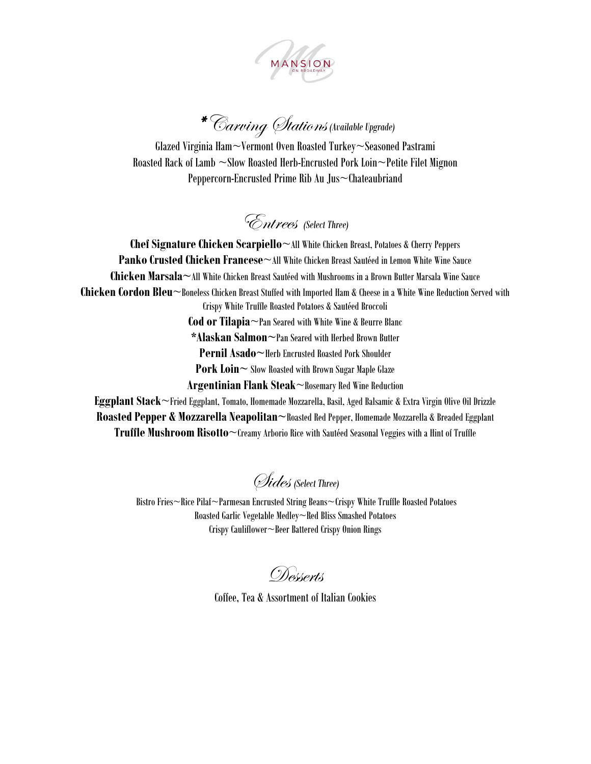

# \* Carving Stations *(Available Upgrade)*

Glazed Virginia Ham~Vermont Oven Roasted Turkey~Seasoned Pastrami Roasted Rack of Lamb ~Slow Roasted Herb-Encrusted Pork Loin~Petite Filet Mignon Peppercorn-Encrusted Prime Rib Au Jus~Chateaubriand

Entrees *(Select Three)*

**Chef Signature Chicken Scarpiello**~All White Chicken Breast, Potatoes & Cherry Peppers **Panko Crusted Chicken Francese**~All White Chicken Breast Sautéed in Lemon White Wine Sauce **Chicken Marsala~**All White Chicken Breast Sautéed with Mushrooms in a Brown Butter Marsala Wine Sauce **Chicken Cordon Bleu**~Boneless Chicken Breast Stuffed with Imported Ham & Cheese in a White Wine Reduction Served with Crispy White Truffle Roasted Potatoes & Sautéed Broccoli **Cod or Tilapia**~Pan Seared with White Wine & Beurre Blanc **\*Alaskan Salmon~**Pan Seared with Herbed Brown Butter **Pernil Asado~**Herb Encrusted Roasted Pork Shoulder **Pork Loin** ~ Slow Roasted with Brown Sugar Maple Glaze **Argentinian Flank Steak**~Rosemary Red Wine Reduction **Eggplant Stack**~Fried Eggplant, Tomato, Homemade Mozzarella, Basil, Aged Balsamic & Extra Virgin Olive Oil Drizzle **Roasted Pepper & Mozzarella Neapolitan~**Roasted Red Pepper, Homemade Mozzarella & Breaded Eggplant

**Truffle Mushroom Risotto**~Creamy Arborio Rice with Sautéed Seasonal Veggies with a Hint of Truffle

Sides *(Select Three)*

Bistro Fries~Rice Pilaf~Parmesan Encrusted String Beans~Crispy White Truffle Roasted Potatoes Roasted Garlic Vegetable Medley~Red Bliss Smashed Potatoes Crispy Cauliflower~Beer Battered Crispy Onion Rings

Desserts

Coffee, Tea & Assortment of Italian Cookies